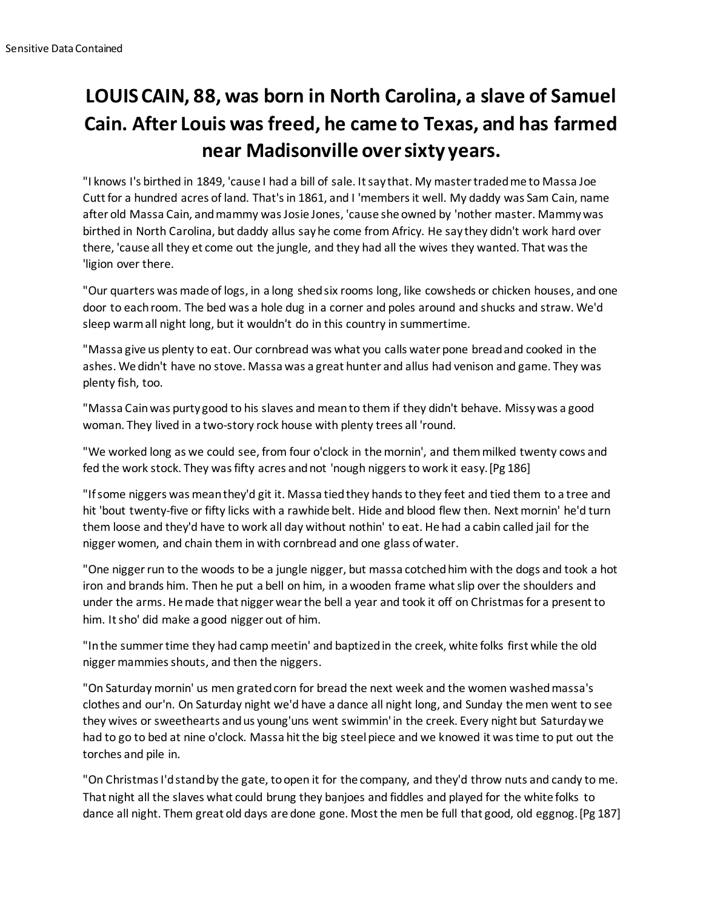## **LOUIS CAIN, 88, was born in North Carolina, a slave of Samuel Cain. After Louis was freed, he came to Texas, and has farmed near Madisonville over sixty years.**

"I knows I's birthed in 1849, 'cause I had a bill of sale. It say that. My master traded me to Massa Joe Cutt for a hundred acres of land. That's in 1861, and I 'members it well. My daddy was Sam Cain, name after old Massa Cain, and mammy was Josie Jones, 'cause she owned by 'nother master. Mammy was birthed in North Carolina, but daddy allus say he come from Africy. He say they didn't work hard over there, 'cause all they et come out the jungle, and they had all the wives they wanted. That was the 'ligion over there.

"Our quarters was made of logs, in a long shed six rooms long, like cowsheds or chicken houses, and one door to each room. The bed was a hole dug in a corner and poles around and shucks and straw. We'd sleep warm all night long, but it wouldn't do in this country in summertime.

"Massa give us plenty to eat. Our cornbread was what you calls water pone bread and cooked in the ashes. We didn't have no stove. Massa was a great hunter and allus had venison and game. They was plenty fish, too.

"Massa Cain was purty good to his slaves and mean to them if they didn't behave. Missy was a good woman. They lived in a two-story rock house with plenty trees all 'round.

"We worked long as we could see, from four o'clock in the mornin', and them milked twenty cows and fed the work stock. They was fifty acres and not 'nough niggers to work it easy.[Pg 186]

"If some niggers was mean they'd git it. Massa tied they hands to they feet and tied them to a tree and hit 'bout twenty-five or fifty licks with a rawhide belt. Hide and blood flew then. Next mornin' he'd turn them loose and they'd have to work all day without nothin' to eat. He had a cabin called jail for the nigger women, and chain them in with cornbread and one glass of water.

"One nigger run to the woods to be a jungle nigger, but massa cotched him with the dogs and took a hot iron and brands him. Then he put a bell on him, in a wooden frame what slip over the shoulders and under the arms. He made that nigger wear the bell a year and took it off on Christmas for a present to him. It sho' did make a good nigger out of him.

"In the summer time they had camp meetin' and baptized in the creek, white folks first while the old nigger mammies shouts, and then the niggers.

"On Saturday mornin' us men grated corn for bread the next week and the women washed massa's clothes and our'n. On Saturday night we'd have a dance all night long, and Sunday the men went to see they wives or sweethearts and us young'uns went swimmin' in the creek. Every night but Saturday we had to go to bed at nine o'clock. Massa hit the big steel piece and we knowed it was time to put out the torches and pile in.

"On Christmas I'd stand by the gate, to open it for the company, and they'd throw nuts and candy to me. That night all the slaves what could brung they banjoes and fiddles and played for the white folks to dance all night. Them great old days are done gone. Most the men be full that good, old eggnog.[Pg 187]